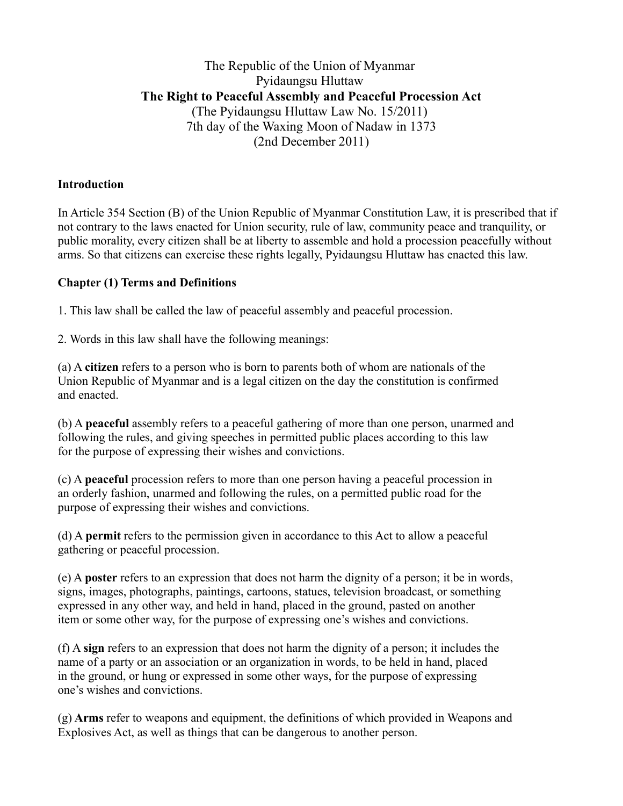# The Republic of the Union of Myanmar Pyidaungsu Hluttaw **The Right to Peaceful Assembly and Peaceful Procession Act** (The Pyidaungsu Hluttaw Law No. 15/2011) 7th day of the Waxing Moon of Nadaw in 1373 (2nd December 2011)

#### **Introduction**

In Article 354 Section (B) of the Union Republic of Myanmar Constitution Law, it is prescribed that if not contrary to the laws enacted for Union security, rule of law, community peace and tranquility, or public morality, every citizen shall be at liberty to assemble and hold a procession peacefully without arms. So that citizens can exercise these rights legally, Pyidaungsu Hluttaw has enacted this law.

#### **Chapter (1) Terms and Definitions**

1. This law shall be called the law of peaceful assembly and peaceful procession.

2. Words in this law shall have the following meanings:

(a) A **citizen** refers to a person who is born to parents both of whom are nationals of the Union Republic of Myanmar and is a legal citizen on the day the constitution is confirmed and enacted.

(b) A **peaceful** assembly refers to a peaceful gathering of more than one person, unarmed and following the rules, and giving speeches in permitted public places according to this law for the purpose of expressing their wishes and convictions.

(c) A **peaceful** procession refers to more than one person having a peaceful procession in an orderly fashion, unarmed and following the rules, on a permitted public road for the purpose of expressing their wishes and convictions.

(d) A **permit** refers to the permission given in accordance to this Act to allow a peaceful gathering or peaceful procession.

(e) A **poster** refers to an expression that does not harm the dignity of a person; it be in words, signs, images, photographs, paintings, cartoons, statues, television broadcast, or something expressed in any other way, and held in hand, placed in the ground, pasted on another item or some other way, for the purpose of expressing one's wishes and convictions.

(f) A **sign** refers to an expression that does not harm the dignity of a person; it includes the name of a party or an association or an organization in words, to be held in hand, placed in the ground, or hung or expressed in some other ways, for the purpose of expressing one's wishes and convictions.

(g) **Arms** refer to weapons and equipment, the definitions of which provided in Weapons and Explosives Act, as well as things that can be dangerous to another person.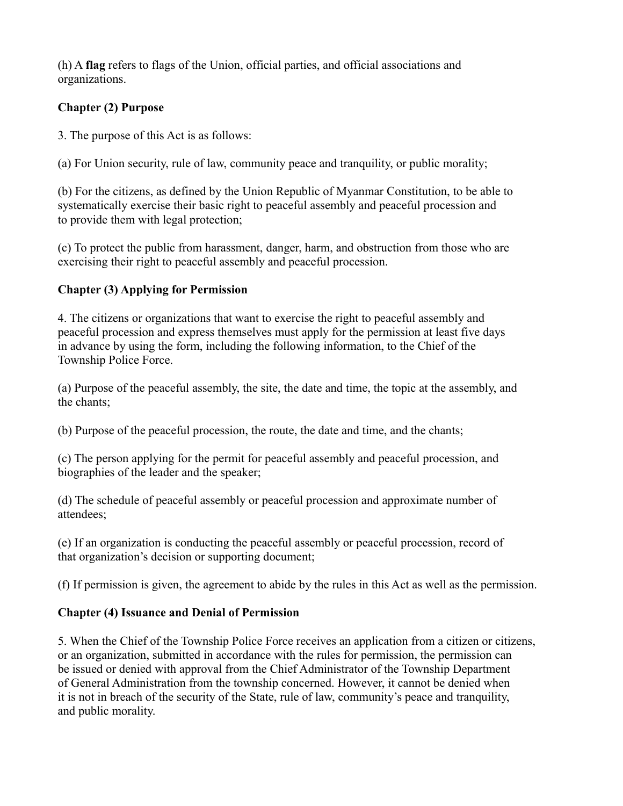(h) A **flag** refers to flags of the Union, official parties, and official associations and organizations.

## **Chapter (2) Purpose**

3. The purpose of this Act is as follows:

(a) For Union security, rule of law, community peace and tranquility, or public morality;

(b) For the citizens, as defined by the Union Republic of Myanmar Constitution, to be able to systematically exercise their basic right to peaceful assembly and peaceful procession and to provide them with legal protection;

(c) To protect the public from harassment, danger, harm, and obstruction from those who are exercising their right to peaceful assembly and peaceful procession.

### **Chapter (3) Applying for Permission**

4. The citizens or organizations that want to exercise the right to peaceful assembly and peaceful procession and express themselves must apply for the permission at least five days in advance by using the form, including the following information, to the Chief of the Township Police Force.

(a) Purpose of the peaceful assembly, the site, the date and time, the topic at the assembly, and the chants;

(b) Purpose of the peaceful procession, the route, the date and time, and the chants;

(c) The person applying for the permit for peaceful assembly and peaceful procession, and biographies of the leader and the speaker;

(d) The schedule of peaceful assembly or peaceful procession and approximate number of attendees;

(e) If an organization is conducting the peaceful assembly or peaceful procession, record of that organization's decision or supporting document;

(f) If permission is given, the agreement to abide by the rules in this Act as well as the permission.

## **Chapter (4) Issuance and Denial of Permission**

5. When the Chief of the Township Police Force receives an application from a citizen or citizens, or an organization, submitted in accordance with the rules for permission, the permission can be issued or denied with approval from the Chief Administrator of the Township Department of General Administration from the township concerned. However, it cannot be denied when it is not in breach of the security of the State, rule of law, community's peace and tranquility, and public morality.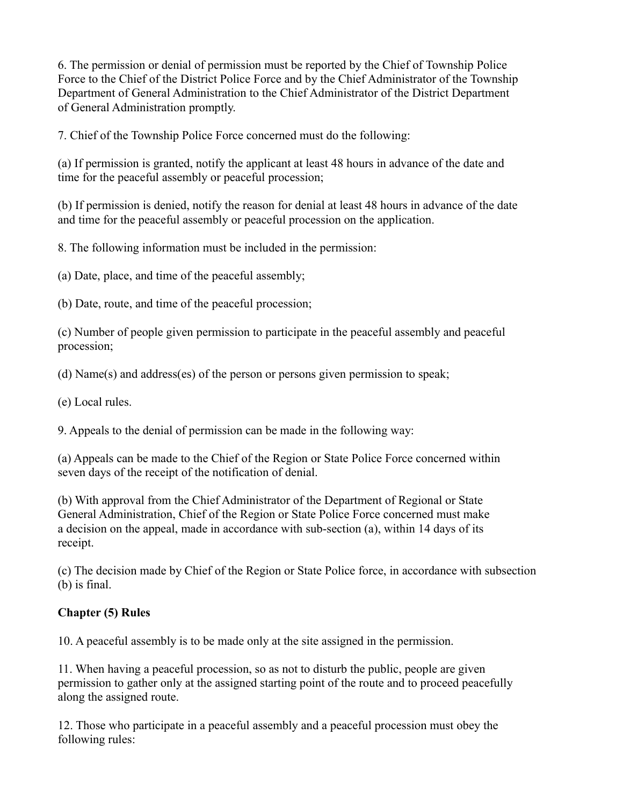6. The permission or denial of permission must be reported by the Chief of Township Police Force to the Chief of the District Police Force and by the Chief Administrator of the Township Department of General Administration to the Chief Administrator of the District Department of General Administration promptly.

7. Chief of the Township Police Force concerned must do the following:

(a) If permission is granted, notify the applicant at least 48 hours in advance of the date and time for the peaceful assembly or peaceful procession;

(b) If permission is denied, notify the reason for denial at least 48 hours in advance of the date and time for the peaceful assembly or peaceful procession on the application.

8. The following information must be included in the permission:

(a) Date, place, and time of the peaceful assembly;

(b) Date, route, and time of the peaceful procession;

(c) Number of people given permission to participate in the peaceful assembly and peaceful procession;

(d) Name(s) and address(es) of the person or persons given permission to speak;

(e) Local rules.

9. Appeals to the denial of permission can be made in the following way:

(a) Appeals can be made to the Chief of the Region or State Police Force concerned within seven days of the receipt of the notification of denial.

(b) With approval from the Chief Administrator of the Department of Regional or State General Administration, Chief of the Region or State Police Force concerned must make a decision on the appeal, made in accordance with sub-section (a), within 14 days of its receipt.

(c) The decision made by Chief of the Region or State Police force, in accordance with subsection (b) is final.

## **Chapter (5) Rules**

10. A peaceful assembly is to be made only at the site assigned in the permission.

11. When having a peaceful procession, so as not to disturb the public, people are given permission to gather only at the assigned starting point of the route and to proceed peacefully along the assigned route.

12. Those who participate in a peaceful assembly and a peaceful procession must obey the following rules: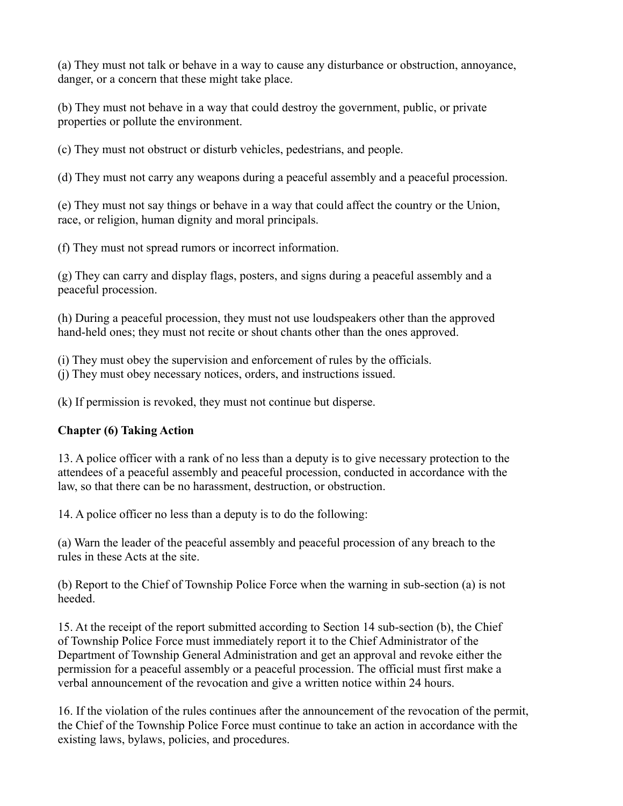(a) They must not talk or behave in a way to cause any disturbance or obstruction, annoyance, danger, or a concern that these might take place.

(b) They must not behave in a way that could destroy the government, public, or private properties or pollute the environment.

(c) They must not obstruct or disturb vehicles, pedestrians, and people.

(d) They must not carry any weapons during a peaceful assembly and a peaceful procession.

(e) They must not say things or behave in a way that could affect the country or the Union, race, or religion, human dignity and moral principals.

(f) They must not spread rumors or incorrect information.

(g) They can carry and display flags, posters, and signs during a peaceful assembly and a peaceful procession.

(h) During a peaceful procession, they must not use loudspeakers other than the approved hand-held ones; they must not recite or shout chants other than the ones approved.

(i) They must obey the supervision and enforcement of rules by the officials.

(j) They must obey necessary notices, orders, and instructions issued.

(k) If permission is revoked, they must not continue but disperse.

## **Chapter (6) Taking Action**

13. A police officer with a rank of no less than a deputy is to give necessary protection to the attendees of a peaceful assembly and peaceful procession, conducted in accordance with the law, so that there can be no harassment, destruction, or obstruction.

14. A police officer no less than a deputy is to do the following:

(a) Warn the leader of the peaceful assembly and peaceful procession of any breach to the rules in these Acts at the site.

(b) Report to the Chief of Township Police Force when the warning in sub-section (a) is not heeded.

15. At the receipt of the report submitted according to Section 14 sub-section (b), the Chief of Township Police Force must immediately report it to the Chief Administrator of the Department of Township General Administration and get an approval and revoke either the permission for a peaceful assembly or a peaceful procession. The official must first make a verbal announcement of the revocation and give a written notice within 24 hours.

16. If the violation of the rules continues after the announcement of the revocation of the permit, the Chief of the Township Police Force must continue to take an action in accordance with the existing laws, bylaws, policies, and procedures.